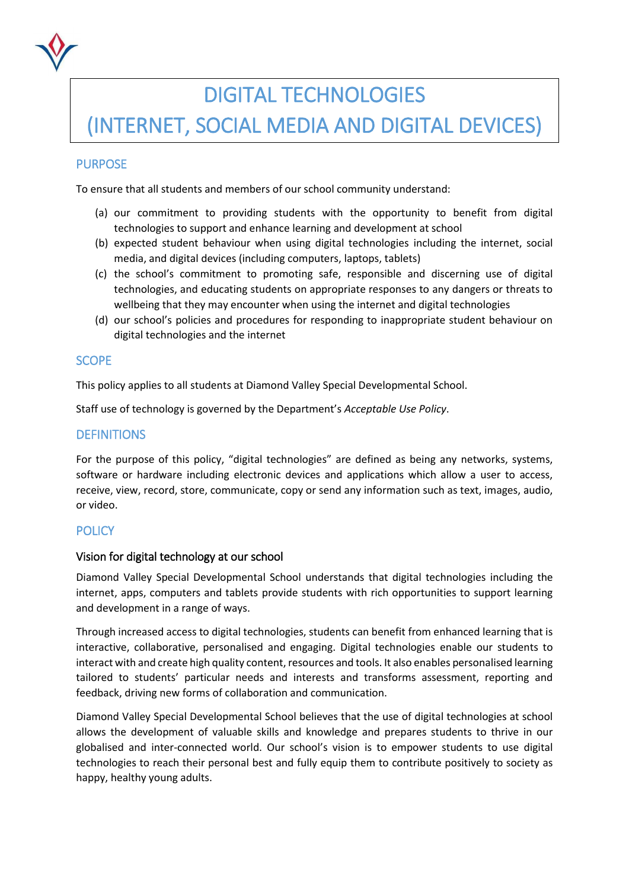

# DIGITAL TECHNOLOGIES

## (INTERNET, SOCIAL MEDIA AND DIGITAL DEVICES)

## PURPOSE

To ensure that all students and members of our school community understand:

- (a) our commitment to providing students with the opportunity to benefit from digital technologies to support and enhance learning and development at school
- (b) expected student behaviour when using digital technologies including the internet, social media, and digital devices (including computers, laptops, tablets)
- (c) the school's commitment to promoting safe, responsible and discerning use of digital technologies, and educating students on appropriate responses to any dangers or threats to wellbeing that they may encounter when using the internet and digital technologies
- (d) our school's policies and procedures for responding to inappropriate student behaviour on digital technologies and the internet

## **SCOPE**

This policy applies to all students at Diamond Valley Special Developmental School.

Staff use of technology is governed by the Department's *Acceptable Use Policy*.

## **DEFINITIONS**

For the purpose of this policy, "digital technologies" are defined as being any networks, systems, software or hardware including electronic devices and applications which allow a user to access, receive, view, record, store, communicate, copy or send any information such as text, images, audio, or video.

## **POLICY**

#### Vision for digital technology at our school

Diamond Valley Special Developmental School understands that digital technologies including the internet, apps, computers and tablets provide students with rich opportunities to support learning and development in a range of ways.

Through increased access to digital technologies, students can benefit from enhanced learning that is interactive, collaborative, personalised and engaging. Digital technologies enable our students to interact with and create high quality content, resources and tools. It also enables personalised learning tailored to students' particular needs and interests and transforms assessment, reporting and feedback, driving new forms of collaboration and communication.

Diamond Valley Special Developmental School believes that the use of digital technologies at school allows the development of valuable skills and knowledge and prepares students to thrive in our globalised and inter-connected world. Our school's vision is to empower students to use digital technologies to reach their personal best and fully equip them to contribute positively to society as happy, healthy young adults.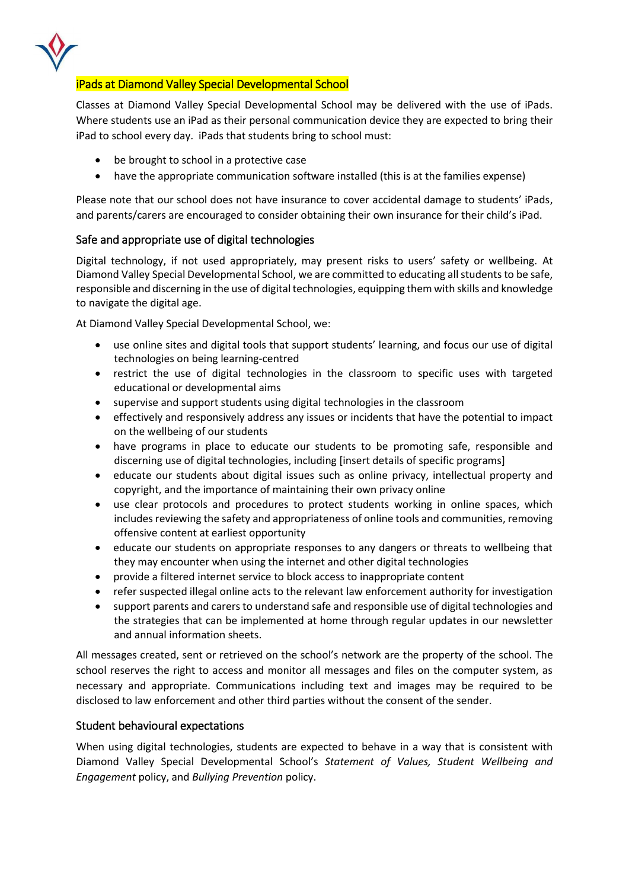

## iPads at Diamond Valley Special Developmental School

Classes at Diamond Valley Special Developmental School may be delivered with the use of iPads. Where students use an iPad as their personal communication device they are expected to bring their iPad to school every day. iPads that students bring to school must:

- be brought to school in a protective case
- have the appropriate communication software installed (this is at the families expense)

Please note that our school does not have insurance to cover accidental damage to students' iPads, and parents/carers are encouraged to consider obtaining their own insurance for their child's iPad.

## Safe and appropriate use of digital technologies

Digital technology, if not used appropriately, may present risks to users' safety or wellbeing. At Diamond Valley Special Developmental School, we are committed to educating all students to be safe, responsible and discerning in the use of digital technologies, equipping them with skills and knowledge to navigate the digital age.

At Diamond Valley Special Developmental School, we:

- use online sites and digital tools that support students' learning, and focus our use of digital technologies on being learning-centred
- restrict the use of digital technologies in the classroom to specific uses with targeted educational or developmental aims
- supervise and support students using digital technologies in the classroom
- effectively and responsively address any issues or incidents that have the potential to impact on the wellbeing of our students
- have programs in place to educate our students to be promoting safe, responsible and discerning use of digital technologies, including [insert details of specific programs]
- educate our students about digital issues such as online privacy, intellectual property and copyright, and the importance of maintaining their own privacy online
- use clear protocols and procedures to protect students working in online spaces, which includes reviewing the safety and appropriateness of online tools and communities, removing offensive content at earliest opportunity
- educate our students on appropriate responses to any dangers or threats to wellbeing that they may encounter when using the internet and other digital technologies
- provide a filtered internet service to block access to inappropriate content
- refer suspected illegal online acts to the relevant law enforcement authority for investigation
- support parents and carers to understand safe and responsible use of digital technologies and the strategies that can be implemented at home through regular updates in our newsletter and annual information sheets.

All messages created, sent or retrieved on the school's network are the property of the school. The school reserves the right to access and monitor all messages and files on the computer system, as necessary and appropriate. Communications including text and images may be required to be disclosed to law enforcement and other third parties without the consent of the sender.

## Student behavioural expectations

When using digital technologies, students are expected to behave in a way that is consistent with Diamond Valley Special Developmental School's *Statement of Values, Student Wellbeing and Engagement* policy, and *Bullying Prevention* policy.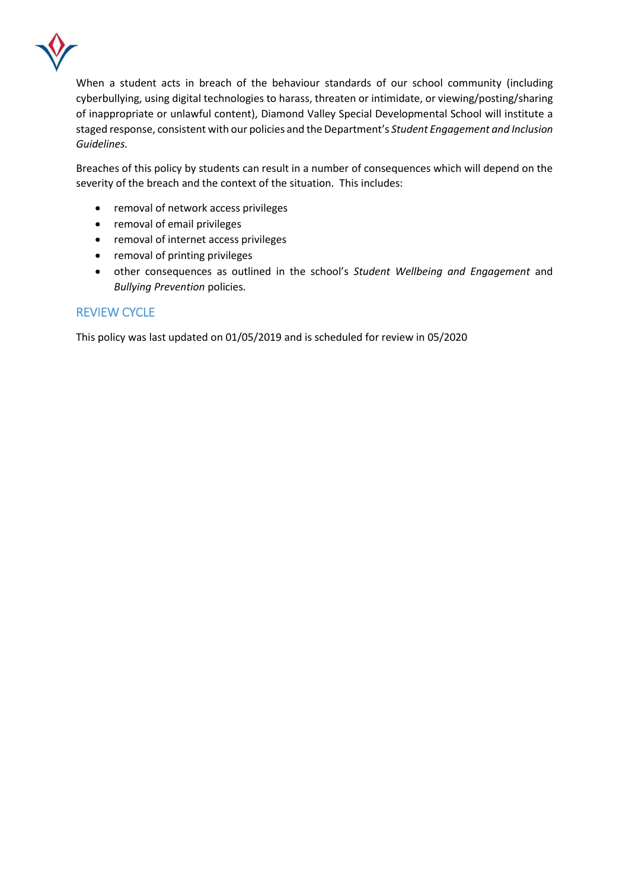

When a student acts in breach of the behaviour standards of our school community (including cyberbullying, using digital technologies to harass, threaten or intimidate, or viewing/posting/sharing of inappropriate or unlawful content), Diamond Valley Special Developmental School will institute a staged response, consistent with our policies and the Department's *Student Engagement and Inclusion Guidelines.*

Breaches of this policy by students can result in a number of consequences which will depend on the severity of the breach and the context of the situation. This includes:

- removal of network access privileges
- removal of email privileges
- removal of internet access privileges
- removal of printing privileges
- other consequences as outlined in the school's *Student Wellbeing and Engagement* and *Bullying Prevention* policies.

## REVIEW CYCLE

This policy was last updated on 01/05/2019 and is scheduled for review in 05/2020